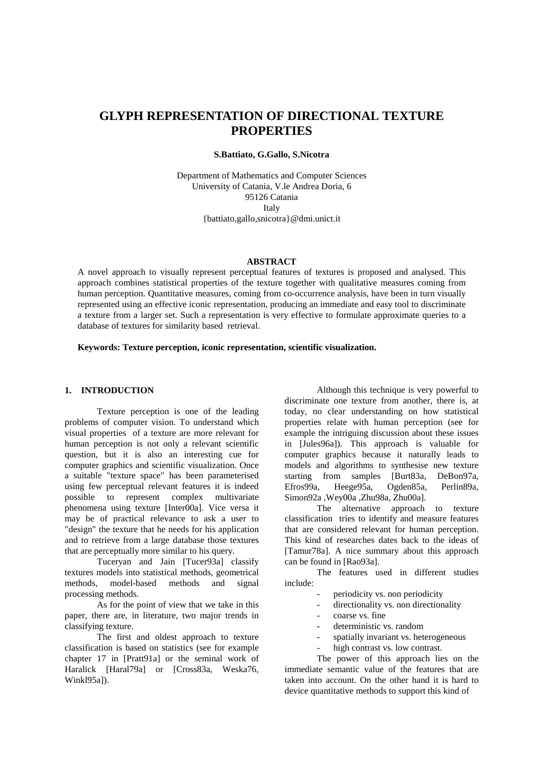# **GLYPH REPRESENTATION OF DIRECTIONAL TEXTURE PROPERTIES**

## **S.Battiato, G.Gallo, S.Nicotra**

Department of Mathematics and Computer Sciences University of Catania, V.le Andrea Doria, 6 95126 Catania Italy {battiato,gallo,snicotra}@dmi.unict.it

#### **ABSTRACT**

A novel approach to visually represent perceptual features of textures is proposed and analysed. This approach combines statistical properties of the texture together with qualitative measures coming from human perception. Quantitative measures, coming from co-occurrence analysis, have been in turn visually represented using an effective iconic representation, producing an immediate and easy tool to discriminate a texture from a larger set. Such a representation is very effective to formulate approximate queries to a database of textures for similarity based retrieval.

#### **Keywords: Texture perception, iconic representation, scientific visualization.**

## **1. INTRODUCTION**

Texture perception is one of the leading problems of computer vision. To understand which visual properties of a texture are more relevant for human perception is not only a relevant scientific question, but it is also an interesting cue for computer graphics and scientific visualization. Once a suitable "texture space" has been parameterised using few perceptual relevant features it is indeed possible to represent complex multivariate phenomena using texture [Inter00a]. Vice versa it may be of practical relevance to ask a user to "design" the texture that he needs for his application and to retrieve from a large database those textures that are perceptually more similar to his query.

Tuceryan and Jain [Tucer93a] classify textures models into statistical methods, geometrical methods, model-based methods and signal processing methods.

As for the point of view that we take in this paper, there are, in literature, two major trends in classifying texture.

The first and oldest approach to texture classification is based on statistics (see for example chapter 17 in [Pratt91a] or the seminal work of Haralick [Haral79a] or [Cross83a, Weska76, Winkl95al).

Although this technique is very powerful to discriminate one texture from another, there is, at today, no clear understanding on how statistical properties relate with human perception (see for example the intriguing discussion about these issues in [Jules96a]). This approach is valuable for computer graphics because it naturally leads to models and algorithms to synthesise new texture starting from samples [Burt83a, DeBon97a, Efros99a, Heege95a, Ogden85a, Perlin89a, Simon92a ,Wey00a ,Zhu98a, Zhu00a].

The alternative approach to texture classification tries to identify and measure features that are considered relevant for human perception. This kind of researches dates back to the ideas of [Tamur78a]. A nice summary about this approach can be found in [Rao93a].

The features used in different studies include:

- periodicity vs. non periodicity
- directionality vs. non directionality
- coarse vs. fine
- deterministic vs. random
- spatially invariant vs. heterogeneous
- high contrast vs. low contrast.

The power of this approach lies on the immediate semantic value of the features that are taken into account. On the other hand it is hard to device quantitative methods to support this kind of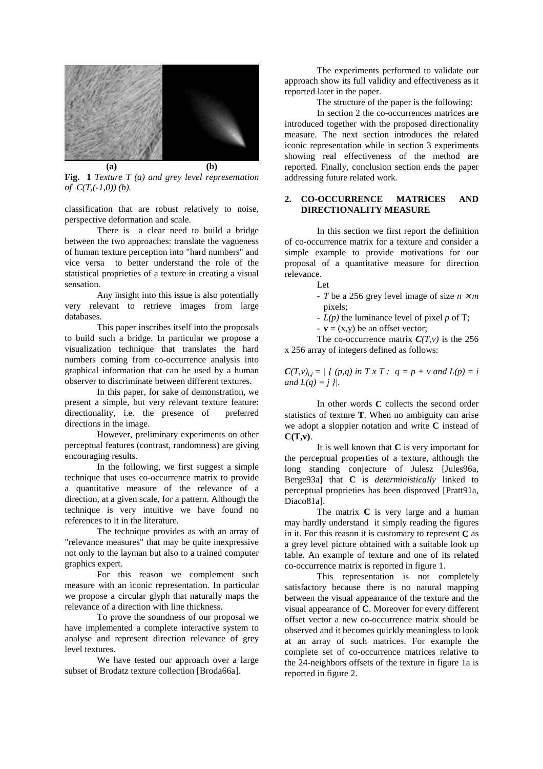

**Fig. 1** *Texture T (a) and grey level representation of C(T,(-1,0)) (b).* 

classification that are robust relatively to noise, perspective deformation and scale.

There is a clear need to build a bridge between the two approaches: translate the vagueness of human texture perception into "hard numbers" and vice versa to better understand the role of the statistical proprieties of a texture in creating a visual sensation.

Any insight into this issue is also potentially very relevant to retrieve images from large databases.

This paper inscribes itself into the proposals to build such a bridge. In particular we propose a visualization technique that translates the hard numbers coming from co-occurrence analysis into graphical information that can be used by a human observer to discriminate between different textures.

In this paper, for sake of demonstration, we present a simple, but very relevant texture feature: directionality, i.e. the presence of preferred directions in the image.

However, preliminary experiments on other perceptual features (contrast, randomness) are giving encouraging results.

In the following, we first suggest a simple technique that uses co-occurrence matrix to provide a quantitative measure of the relevance of a direction, at a given scale, for a pattern. Although the technique is very intuitive we have found no references to it in the literature.

The technique provides as with an array of "relevance measures" that may be quite inexpressive not only to the layman but also to a trained computer graphics expert.

For this reason we complement such measure with an iconic representation. In particular we propose a circular glyph that naturally maps the relevance of a direction with line thickness.

To prove the soundness of our proposal we have implemented a complete interactive system to analyse and represent direction relevance of grey level textures.

We have tested our approach over a large subset of Brodatz texture collection [Broda66a].

The experiments performed to validate our approach show its full validity and effectiveness as it reported later in the paper.

The structure of the paper is the following:

In section 2 the co-occurrences matrices are introduced together with the proposed directionality measure. The next section introduces the related iconic representation while in section 3 experiments showing real effectiveness of the method are reported. Finally, conclusion section ends the paper addressing future related work*.*

## **2. CO-OCCURRENCE MATRICES AND DIRECTIONALITY MEASURE**

In this section we first report the definition of co-occurrence matrix for a texture and consider a simple example to provide motivations for our proposal of a quantitative measure for direction relevance.

- Let
	- *T* be a 256 grey level image of size  $n \times m$ pixels;
	- *L(p)* the luminance level of pixel *p* of T;
	- $\mathbf{v} = (\mathbf{x}, \mathbf{y})$  be an offset vector;

The co-occurrence matrix  $C(T, v)$  is the 256 x 256 array of integers defined as follows:

 $C(T, v)_{ii} = \frac{1}{2} (p, q)$  in  $T x T : q = p + v$  and  $L(p) = i$ *and*  $L(q) = j$  }/.

In other words **C** collects the second order statistics of texture **T**. When no ambiguity can arise we adopt a sloppier notation and write **C** instead of **C(T,v)**.

It is well known that **C** is very important for the perceptual properties of a texture, although the long standing conjecture of Julesz [Jules96a, Berge93a] that **C** is *deterministically* linked to perceptual proprieties has been disproved [Pratt91a, Diaco81a].

The matrix **C** is very large and a human may hardly understand it simply reading the figures in it. For this reason it is customary to represent **C** as a grey level picture obtained with a suitable look up table. An example of texture and one of its related co-occurrence matrix is reported in figure 1.

This representation is not completely satisfactory because there is no natural mapping between the visual appearance of the texture and the visual appearance of **C**. Moreover for every different offset vector a new co-occurrence matrix should be observed and it becomes quickly meaningless to look at an array of such matrices. For example the complete set of co-occurrence matrices relative to the 24-neighbors offsets of the texture in figure 1a is reported in figure 2.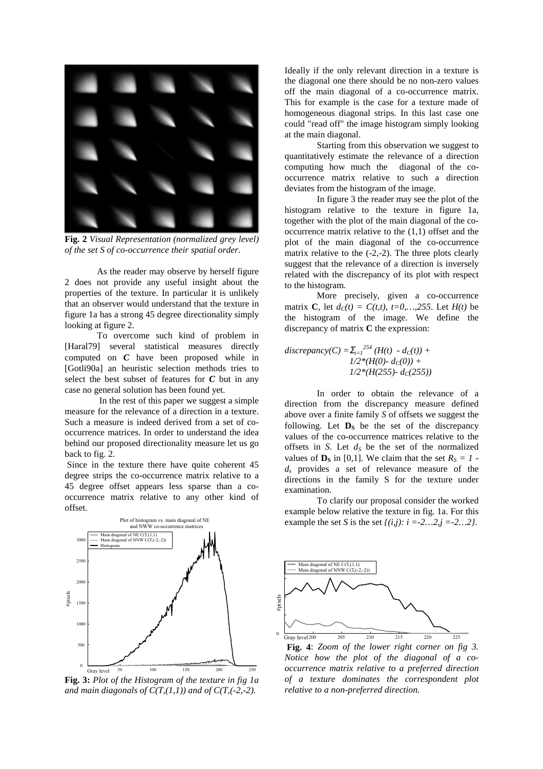

**Fig. 2** *Visual Representation (normalized grey level) of the set S of co-occurrence their spatial order*.

As the reader may observe by herself figure 2 does not provide any useful insight about the properties of the texture. In particular it is unlikely that an observer would understand that the texture in figure 1a has a strong 45 degree directionality simply looking at figure 2.

To overcome such kind of problem in [Haral79] several statistical measures directly computed on *C* have been proposed while in [Gotli90a] an heuristic selection methods tries to select the best subset of features for *C* but in any case no general solution has been found yet.

 In the rest of this paper we suggest a simple measure for the relevance of a direction in a texture. Such a measure is indeed derived from a set of cooccurrence matrices. In order to understand the idea behind our proposed directionality measure let us go back to fig. 2.

Since in the texture there have quite coherent 45 degree strips the co-occurrence matrix relative to a 45 degree offset appears less sparse than a cooccurrence matrix relative to any other kind of offset.



**Fig. 3:** *Plot of the Histogram of the texture in fig 1a*  and main diagonals of  $C(T,(1,1))$  and of  $C(T,(-2,-2))$ .

Ideally if the only relevant direction in a texture is the diagonal one there should be no non-zero values off the main diagonal of a co-occurrence matrix. This for example is the case for a texture made of homogeneous diagonal strips. In this last case one could "read off" the image histogram simply looking at the main diagonal.

Starting from this observation we suggest to quantitatively estimate the relevance of a direction computing how much the diagonal of the cooccurrence matrix relative to such a direction deviates from the histogram of the image.

In figure 3 the reader may see the plot of the histogram relative to the texture in figure 1a, together with the plot of the main diagonal of the cooccurrence matrix relative to the (1,1) offset and the plot of the main diagonal of the co-occurrence matrix relative to the  $(-2,-2)$ . The three plots clearly suggest that the relevance of a direction is inversely related with the discrepancy of its plot with respect to the histogram.

More precisely, given a co-occurrence matrix **C**, let  $d_c(t) = C(t,t)$ ,  $t=0,...,255$ . Let  $H(t)$  be the histogram of the image. We define the discrepancy of matrix **C** the expression:

 $discrepancy(C) = \sum_{t=1}^{254} (H(t) - d_C(t)) +$  $1/2*(H(0)-d<sub>C</sub>(0))+$  $1/2*(H(255)-d<sub>C</sub>(255))$ 

In order to obtain the relevance of a direction from the discrepancy measure defined above over a finite family *S* of offsets we suggest the following. Let  $\mathbf{D}_s$  be the set of the discrepancy values of the co-occurrence matrices relative to the offsets in *S*. Let  $d<sub>S</sub>$  be the set of the normalized values of  $\mathbf{D}_S$  in [0,1]. We claim that the set  $R_S = 1$  *ds* provides a set of relevance measure of the directions in the family S for the texture under examination.

To clarify our proposal consider the worked example below relative the texture in fig. 1a. For this example the set *S* is the set  $\{(i,j): i = -2...2, j = -2...2\}$ .



 **Fig. 4**: *Zoom of the lower right corner on fig 3. Notice how the plot of the diagonal of a cooccurrence matrix relative to a preferred direction of a texture dominates the correspondent plot relative to a non-preferred direction.*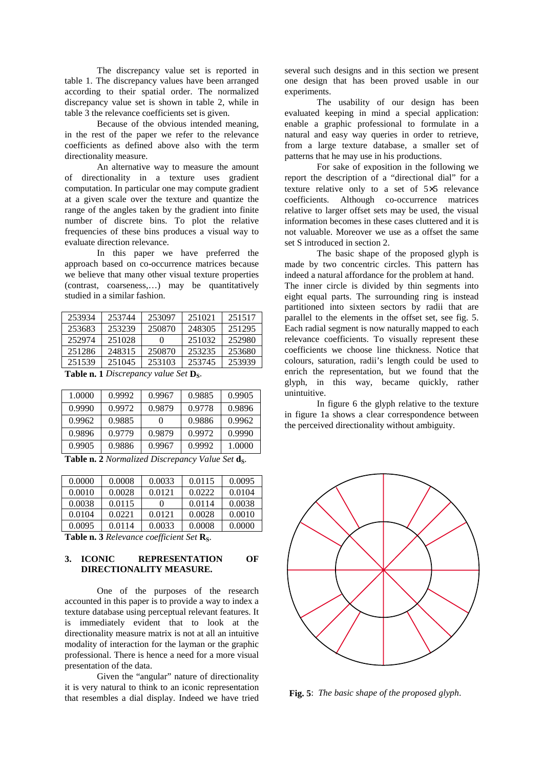The discrepancy value set is reported in table 1. The discrepancy values have been arranged according to their spatial order. The normalized discrepancy value set is shown in table 2, while in table 3 the relevance coefficients set is given.

Because of the obvious intended meaning, in the rest of the paper we refer to the relevance coefficients as defined above also with the term directionality measure.

An alternative way to measure the amount of directionality in a texture uses gradient computation. In particular one may compute gradient at a given scale over the texture and quantize the range of the angles taken by the gradient into finite number of discrete bins. To plot the relative frequencies of these bins produces a visual way to evaluate direction relevance.

In this paper we have preferred the approach based on co-occurrence matrices because we believe that many other visual texture properties (contrast, coarseness,…) may be quantitatively studied in a similar fashion.

| .      |        |        | $\sim$ $\sim$ |        |
|--------|--------|--------|---------------|--------|
| 251539 | 251045 | 253103 | 253745        | 253939 |
| 251286 | 248315 | 250870 | 253235        | 253680 |
| 252974 | 251028 |        | 251032        | 252980 |
| 253683 | 253239 | 250870 | 248305        | 251295 |
| 253934 | 253744 | 253097 | 251021        | 251517 |

**Table n. 1** *Discrepancy value Set* **D**<sub>S</sub>.

| 1.0000 | 0.9992 | 0.9967 | 0.9885 | 0.9905 |
|--------|--------|--------|--------|--------|
| 0.9990 | 0.9972 | 0.9879 | 0.9778 | 0.9896 |
| 0.9962 | 0.9885 | 0      | 0.9886 | 0.9962 |
| 0.9896 | 0.9779 | 0.9879 | 0.9972 | 0.9990 |
| 0.9905 | 0.9886 | 0.9967 | 0.9992 | 1.0000 |

**Table n. 2** *Normalized Discrepancy Value Set* **ds.** 

| 0.0000 | 0.0008 | 0.0033       | 0.0115 | 0.0095 |
|--------|--------|--------------|--------|--------|
| 0.0010 | 0.0028 | 0.0121       | 0.0222 | 0.0104 |
| 0.0038 | 0.0115 | $\mathbf{0}$ | 0.0114 | 0.0038 |
| 0.0104 | 0.0221 | 0.0121       | 0.0028 | 0.0010 |
| 0.0095 | 0.0114 | 0.0033       | 0.0008 | 0.0000 |

Table n. 3 *Relevance coefficient Set* R<sub>S</sub>.

## **3. ICONIC REPRESENTATION OF DIRECTIONALITY MEASURE.**

One of the purposes of the research accounted in this paper is to provide a way to index a texture database using perceptual relevant features. It is immediately evident that to look at the directionality measure matrix is not at all an intuitive modality of interaction for the layman or the graphic professional. There is hence a need for a more visual presentation of the data.

Given the "angular" nature of directionality it is very natural to think to an iconic representation that resembles a dial display. Indeed we have tried several such designs and in this section we present one design that has been proved usable in our experiments.

The usability of our design has been evaluated keeping in mind a special application: enable a graphic professional to formulate in a natural and easy way queries in order to retrieve, from a large texture database, a smaller set of patterns that he may use in his productions.

For sake of exposition in the following we report the description of a "directional dial" for a texture relative only to a set of 5×5 relevance coefficients. Although co-occurrence matrices relative to larger offset sets may be used, the visual information becomes in these cases cluttered and it is not valuable. Moreover we use as a offset the same set S introduced in section 2.

The basic shape of the proposed glyph is made by two concentric circles. This pattern has indeed a natural affordance for the problem at hand. The inner circle is divided by thin segments into eight equal parts. The surrounding ring is instead partitioned into sixteen sectors by radii that are parallel to the elements in the offset set, see fig. 5. Each radial segment is now naturally mapped to each relevance coefficients. To visually represent these coefficients we choose line thickness. Notice that colours, saturation, radii's length could be used to enrich the representation, but we found that the glyph, in this way, became quickly, rather unintuitive.

In figure 6 the glyph relative to the texture in figure 1a shows a clear correspondence between the perceived directionality without ambiguity.



 **Fig. 5**: *The basic shape of the proposed glyph*.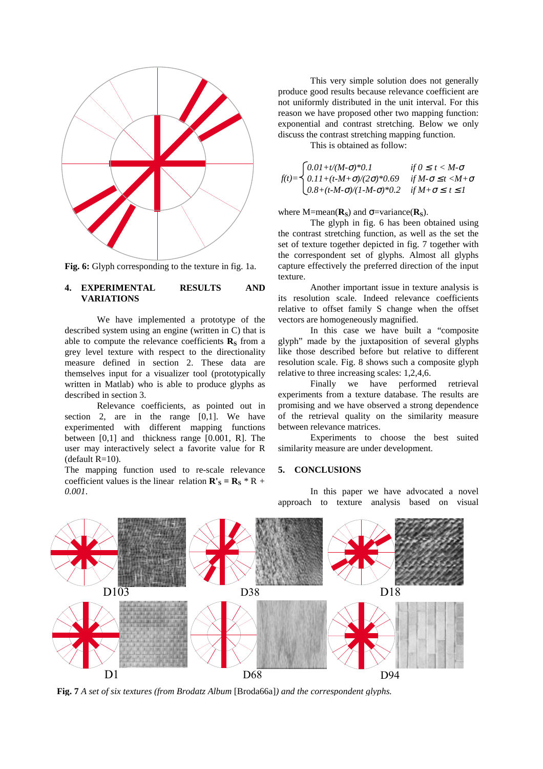

**Fig. 6:** Glyph corresponding to the texture in fig. 1a.

## **4. EXPERIMENTAL RESULTS AND VARIATIONS**

We have implemented a prototype of the described system using an engine (written in C) that is able to compute the relevance coefficients  $\mathbf{R}_\mathbf{S}$  from a grey level texture with respect to the directionality measure defined in section 2. These data are themselves input for a visualizer tool (prototypically written in Matlab) who is able to produce glyphs as described in section 3.

Relevance coefficients, as pointed out in section 2, are in the range [0,1]. We have experimented with different mapping functions between [0,1] and thickness range [0.001, R]. The user may interactively select a favorite value for R  $(default R=10).$ 

The mapping function used to re-scale relevance coefficient values is the linear relation  $\mathbf{R}'_{\mathbf{S}} = \mathbf{R}_{\mathbf{S}} * \mathbf{R} + \mathbf{R}$ *0.001*.

This very simple solution does not generally produce good results because relevance coefficient are not uniformly distributed in the unit interval. For this reason we have proposed other two mapping function: exponential and contrast stretching. Below we only discuss the contrast stretching mapping function.

This is obtained as follow:

$$
f(t) = \begin{cases} 0.01 + t/(M\cdot\sigma)^* 0.1 & \text{if } 0 \le t < M\cdot\sigma \\ 0.11 + (t\cdot M\cdot\sigma)/(2\sigma)^* 0.69 & \text{if } M\cdot\sigma \le t < M\cdot\sigma \\ 0.8 + (t\cdot M\cdot\sigma)/(1\cdot M\cdot\sigma)^* 0.2 & \text{if } M\cdot\sigma \le t \le 1 \end{cases}
$$

where  $M=mean(\mathbf{R}_s)$  and  $\sigma=variance(\mathbf{R}_s)$ .

The glyph in fig. 6 has been obtained using the contrast stretching function, as well as the set the set of texture together depicted in fig. 7 together with the correspondent set of glyphs. Almost all glyphs capture effectively the preferred direction of the input texture.

Another important issue in texture analysis is its resolution scale. Indeed relevance coefficients relative to offset family S change when the offset vectors are homogeneously magnified.

In this case we have built a "composite glyph" made by the juxtaposition of several glyphs like those described before but relative to different resolution scale. Fig. 8 shows such a composite glyph relative to three increasing scales: 1,2,4,6.

Finally we have performed retrieval experiments from a texture database. The results are promising and we have observed a strong dependence of the retrieval quality on the similarity measure between relevance matrices.

Experiments to choose the best suited similarity measure are under development.

# **5. CONCLUSIONS**

In this paper we have advocated a novel approach to texture analysis based on visual



**Fig. 7** *A set of six textures (from Brodatz Album* [Broda66a]*) and the correspondent glyphs.*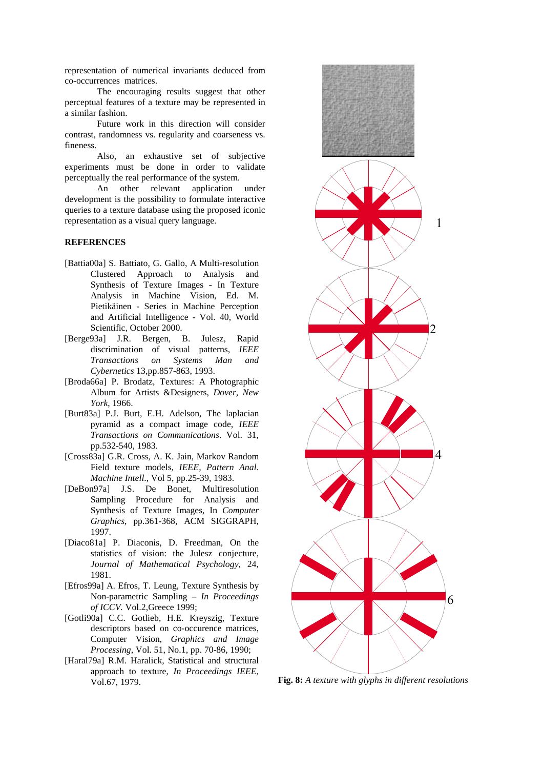representation of numerical invariants deduced from co-occurrences matrices.

The encouraging results suggest that other perceptual features of a texture may be represented in a similar fashion.

Future work in this direction will consider contrast, randomness vs. regularity and coarseness vs. fineness.

Also, an exhaustive set of subjective experiments must be done in order to validate perceptually the real performance of the system.

An other relevant application under development is the possibility to formulate interactive queries to a texture database using the proposed iconic representation as a visual query language.

# **REFERENCES**

- [Battia00a] S. Battiato, G. Gallo, A Multi-resolution Clustered Approach to Analysis and Synthesis of Texture Images - In Texture Analysis in Machine Vision, Ed. M. Pietikäinen - Series in Machine Perception and Artificial Intelligence - Vol. 40, World Scientific, October 2000.
- [Berge93a] J.R. Bergen, B. Julesz, Rapid discrimination of visual patterns, *IEEE Transactions on Systems Man and Cybernetics* 13,pp.857-863, 1993.
- [Broda66a] P. Brodatz, Textures: A Photographic Album for Artists &Designers, *Dover, New York*, 1966.
- [Burt83a] P.J. Burt, E.H. Adelson, The laplacian pyramid as a compact image code, *IEEE Transactions on Communications*. Vol. 31, pp.532-540, 1983.
- [Cross83a] G.R. Cross, A. K. Jain, Markov Random Field texture models, *IEEE, Pattern Anal. Machine Intell*., Vol 5, pp.25-39, 1983.
- [DeBon97a] J.S. De Bonet, Multiresolution Sampling Procedure for Analysis and Synthesis of Texture Images, In *Computer Graphics*, pp.361-368, ACM SIGGRAPH, 1997.
- [Diaco81a] P. Diaconis, D. Freedman, On the statistics of vision: the Julesz conjecture, *Journal of Mathematical Psychology*, 24, 1981.
- [Efros99a] A. Efros, T. Leung, Texture Synthesis by Non-parametric Sampling – *In Proceedings of ICCV.* Vol.2,Greece 1999;
- [Gotli90a] C.C. Gotlieb, H.E. Kreyszig, Texture descriptors based on co-occurence matrices, Computer Vision, *Graphics and Image Processing*, Vol. 51, No.1, pp. 70-86, 1990;
- [Haral79a] R.M. Haralick, Statistical and structural approach to texture, *In Proceedings IEEE*, Vol.67, 1979. **Fig. 8:** *A texture with glyphs in different resolutions*